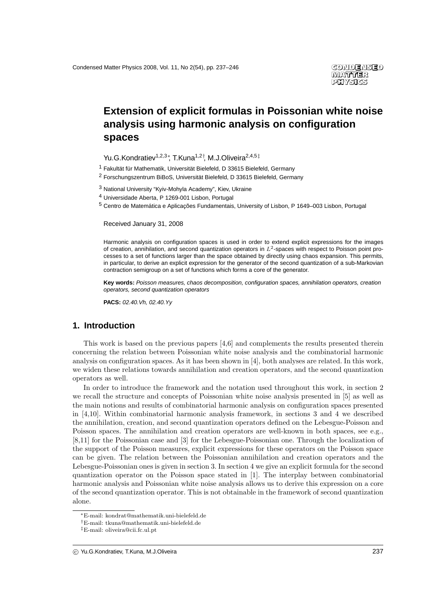# **Extension of explicit formulas in Poissonian white noise analysis using harmonic analysis on configuration spaces**

Yu.G.Kondratiev<sup>1,2,3</sup>\*, T.Kuna<sup>1,2†</sup>, M.J.Oliveira<sup>2,4,5‡</sup>

 $1$  Fakultät für Mathematik, Universität Bielefeld, D 33615 Bielefeld, Germany

<sup>2</sup> Forschungszentrum BiBoS, Universität Bielefeld, D 33615 Bielefeld, Germany

<sup>3</sup> National University "Kyiv-Mohyla Academy", Kiev, Ukraine

<sup>4</sup> Universidade Aberta, P 1269-001 Lisbon, Portugal

 $5$  Centro de Matemática e Aplicações Fundamentais, University of Lisbon, P 1649–003 Lisbon, Portugal

Received January 31, 2008

Harmonic analysis on configuration spaces is used in order to extend explicit expressions for the images of creation, annihilation, and second quantization operators in  $L^2$ -spaces with respect to Poisson point processes to a set of functions larger than the space obtained by directly using chaos expansion. This permits, in particular, to derive an explicit expression for the generator of the second quantization of a sub-Markovian contraction semigroup on a set of functions which forms a core of the generator.

**Key words:** Poisson measures, chaos decomposition, configuration spaces, annihilation operators, creation operators, second quantization operators

**PACS:** 02.40.Vh, 02.40.Yy

## **1. Introduction**

This work is based on the previous papers [4,6] and complements the results presented therein concerning the relation between Poissonian white noise analysis and the combinatorial harmonic analysis on configuration spaces. As it has been shown in [4], both analyses are related. In this work, we widen these relations towards annihilation and creation operators, and the second quantization operators as well.

In order to introduce the framework and the notation used throughout this work, in section 2 we recall the structure and concepts of Poissonian white noise analysis presented in [5] as well as the main notions and results of combinatorial harmonic analysis on configuration spaces presented in [4,10]. Within combinatorial harmonic analysis framework, in sections 3 and 4 we described the annihilation, creation, and second quantization operators defined on the Lebesgue-Poisson and Poisson spaces. The annihilation and creation operators are well-known in both spaces, see e.g., [8,11] for the Poissonian case and [3] for the Lebesgue-Poissonian one. Through the localization of the support of the Poisson measures, explicit expressions for these operators on the Poisson space can be given. The relation between the Poissonian annihilation and creation operators and the Lebesgue-Poissonian ones is given in section 3. In section 4 we give an explicit formula for the second quantization operator on the Poisson space stated in [1]. The interplay between combinatorial harmonic analysis and Poissonian white noise analysis allows us to derive this expression on a core of the second quantization operator. This is not obtainable in the framework of second quantization alone.

<sup>∗</sup>E-mail: kondrat@mathematik.uni-bielefeld.de

<sup>†</sup>E-mail: tkuna@mathematik.uni-bielefeld.de

<sup>‡</sup>E-mail: oliveira@cii.fc.ul.pt

c Yu.G.Kondratiev, T.Kuna, M.J.Oliveira 237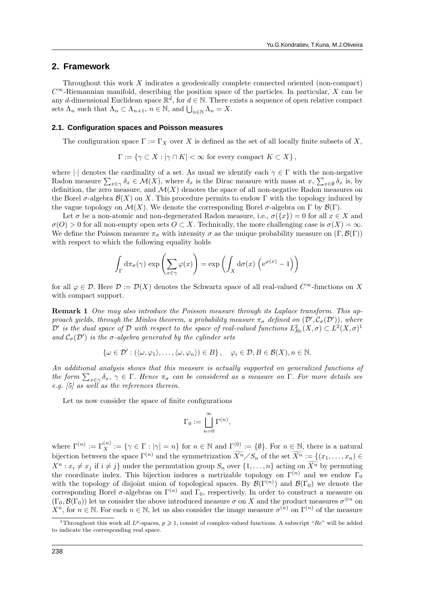#### **2. Framework**

Throughout this work X indicates a geodesically complete connected oriented (non-compact)  $C^{\infty}$ -Riemannian manifold, describing the position space of the particles. In particular, X can be any d-dimensional Euclidean space  $\mathbb{R}^d$ , for  $d \in \mathbb{N}$ . There exists a sequence of open relative compact sets  $\Lambda_n$  such that  $\Lambda_n \subset \Lambda_{n+1}$ ,  $n \in \mathbb{N}$ , and  $\bigcup_{n \in \mathbb{N}} \Lambda_n = X$ .

#### **2.1. Configuration spaces and Poisson measures**

The configuration space  $\Gamma := \Gamma_X$  over X is defined as the set of all locally finite subsets of X,

$$
\Gamma := \{ \gamma \subset X : |\gamma \cap K| < \infty \text{ for every compact } K \subset X \},
$$

where |·| denotes the cardinality of a set. As usual we identify each  $\gamma \in \Gamma$  with the non-negative Radon measure  $\sum_{x \in \gamma} \delta_x \in \mathcal{M}(X)$ , where  $\delta_x$  is the Dirac measure with mass at  $x, \sum_{x \in \emptyset} \delta_x$  is, by definition, the zero measure, and  $\mathcal{M}(X)$  denotes the space of all non-negative Radon measures on the Borel  $\sigma$ -algebra  $\mathcal{B}(X)$  on X. This procedure permits to endow Γ with the topology induced by the vague topology on  $\mathcal{M}(X)$ . We denote the corresponding Borel  $\sigma$ -algebra on  $\Gamma$  by  $\mathcal{B}(\Gamma)$ .

Let  $\sigma$  be a non-atomic and non-degenerated Radon measure, i.e.,  $\sigma({x}) = 0$  for all  $x \in X$  and  $\sigma(O) > 0$  for all non-empty open sets  $O \subset X$ . Technically, the more challenging case is  $\sigma(X) = \infty$ . We define the Poisson measure  $\pi_{\sigma}$  with intensity  $\sigma$  as the unique probability measure on  $(\Gamma, \mathcal{B}(\Gamma))$ with respect to which the following equality holds

$$
\int_{\Gamma} d\pi_{\sigma}(\gamma) \exp \left( \sum_{x \in \gamma} \varphi(x) \right) = \exp \left( \int_{X} d\sigma(x) \left( e^{\varphi(x)} - 1 \right) \right)
$$

for all  $\varphi \in \mathcal{D}$ . Here  $\mathcal{D} := \mathcal{D}(X)$  denotes the Schwartz space of all real-valued  $C^{\infty}$ -functions on X with compact support.

Remark 1 One may also introduce the Poisson measure through its Laplace transform. This approach yields, through the Minlos theorem, a probability measure  $\pi_{\sigma}$  defined on  $(\mathcal{D}', \mathcal{C}_{\sigma}(\mathcal{D}'))$ , where  $\mathcal{D}'$  is the dual space of  $\mathcal D$  with respect to the space of real-valued functions  $L^2_{Re}(X,\sigma) \subset L^2(X,\sigma)^1$ and  $C_{\sigma}(\mathcal{D}')$  is the  $\sigma$ -algebra generated by the cylinder sets

$$
\{\omega \in \mathcal{D}' : (\langle \omega, \varphi_1 \rangle, \dots, \langle \omega, \varphi_n \rangle) \in B\}, \quad \varphi_i \in \mathcal{D}, B \in \mathcal{B}(X), n \in \mathbb{N}.
$$

An additional analysis shows that this measure is actually supported on generalized functions of the form  $\sum_{x \in \gamma} \delta_x$ ,  $\gamma \in \Gamma$ . Hence  $\pi_{\sigma}$  can be considered as a measure on  $\Gamma$ . For more details see e.g.  $\left[5\right]$  as well as the references therein.

Let us now consider the space of finite configurations

$$
\Gamma_0:=\bigsqcup_{n=0}^\infty \Gamma^{(n)},
$$

where  $\Gamma^{(n)} := \Gamma_X^{(n)} := \{ \gamma \in \Gamma : |\gamma| = n \}$  for  $n \in \mathbb{N}$  and  $\Gamma^{(0)} := \{ \emptyset \}$ . For  $n \in \mathbb{N}$ , there is a natural bijection between the space  $\Gamma^{(n)}$  and the symmetrization  $\widetilde{X^n}/S_n$  of the set  $\widetilde{X^n} := \{(x_1, \ldots, x_n) \in$  $X^n : x_i \neq x_j$  if  $i \neq j$  under the permutation group  $S_n$  over  $\{1, \ldots, n\}$  acting on  $\widetilde{X^n}$  by permuting the coordinate index. This bijection induces a metrizable topology on  $\Gamma^{(n)}$  and we endow  $\Gamma_0$ with the topology of disjoint union of topological spaces. By  $\mathcal{B}(\Gamma^{(n)})$  and  $\mathcal{B}(\Gamma_0)$  we denote the corresponding Borel  $\sigma$ -algebras on  $\Gamma^{(n)}$  and  $\Gamma_0$ , respectively. In order to construct a measure on  $(\Gamma_0, \mathcal{B}(\Gamma_0))$  let us consider the above introduced measure  $\sigma$  on X and the product measures  $\sigma^{\otimes n}$  on  $X^n$ , for  $n \in \mathbb{N}$ . For each  $n \in \mathbb{N}$ , let us also consider the image measure  $\sigma^{(n)}$  on  $\Gamma^{(n)}$  of the measure

<sup>&</sup>lt;sup>1</sup>Throughout this work all  $L^p$ -spaces,  $p \geq 1$ , consist of complex-valued functions. A subscript "Re" will be added to indicate the corresponding real space.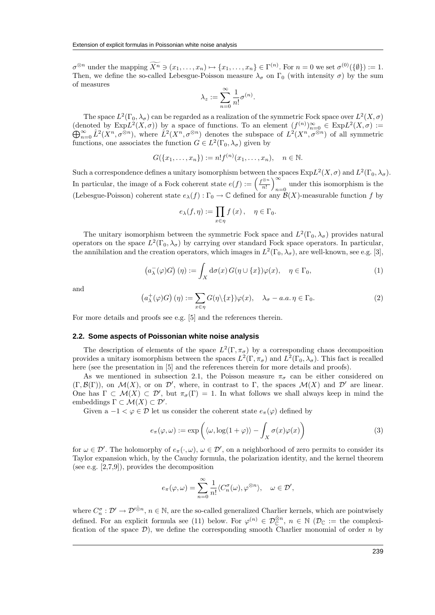$\sigma^{\otimes n}$  under the mapping  $\overline{X^n} \ni (x_1, \ldots, x_n) \mapsto \{x_1, \ldots, x_n\} \in \Gamma^{(n)}$ . For  $n = 0$  we set  $\sigma^{(0)}(\{\emptyset\}) := 1$ . Then, we define the so-called Lebesgue-Poisson measure  $\lambda_{\sigma}$  on  $\Gamma_0$  (with intensity  $\sigma$ ) by the sum of measures

$$
\lambda_z:=\sum_{n=0}^\infty\frac{1}{n!}\sigma^{(n)}.
$$

The space  $L^2(\Gamma_0,\lambda_\sigma)$  can be regarded as a realization of the symmetric Fock space over  $L^2(X,\sigma)$ (denoted by  $\text{Exp}L^2(X,\sigma)$ ) by a space of functions. To an element  $(f^{(n)})_{n=0}^{\infty} \in \text{Exp}L^2$  $\overline{\oplus}$ enoted by  $\text{Exp}L^2(X,\sigma)$  by a space of functions. To an element  $(f^{(n)})_{n=0}^{\infty} \in \text{Exp}L^2(X,\sigma) :=$ <br>  $\sum_{n=0}^{\infty} \hat{L}^2(X^n, \sigma^{\otimes n})$ , where  $\hat{L}^2(X^n, \sigma^{\otimes n})$  denotes the subspace of  $L^2(X^n, \sigma^{\otimes n})$  of all symmetric functions, one associates the function  $G \in L^2(\Gamma_0, \lambda_\sigma)$  given by

$$
G({x_1,...,x_n}):=n!f^{(n)}(x_1,...,x_n), \quad n \in \mathbb{N}.
$$

Such a correspondence defines a unitary isomorphism between the spaces  $\text{Exp}L^2(X,\sigma)$  and  $L^2(\Gamma_0,\lambda_\sigma)$ . In particular, the image of a Fock coherent state  $e(f) := \left(\frac{f^{\otimes n}}{n!}\right)^n$ n! <sup>∞</sup>  $n=0$  under this isomorphism is the (Lebesgue-Poisson) coherent state  $e_{\lambda}(f): \Gamma_0 \to \mathbb{C}$  defined for any  $\mathcal{B}(X)$ -measurable function f by

$$
e_{\lambda}(f,\eta):=\prod_{x\in\eta}f\left(x\right),\quad\eta\in\Gamma_{0}.
$$

The unitary isomorphism between the symmetric Fock space and  $L^2(\Gamma_0, \lambda_\sigma)$  provides natural operators on the space  $L^2(\Gamma_0, \lambda_\sigma)$  by carrying over standard Fock space operators. In particular, the annihilation and the creation operators, which images in  $L^2(\Gamma_0, \lambda_\sigma)$ , are well-known, see e.g. [3],

$$
\left(a_{\lambda}^{-}(\varphi)G\right)(\eta) := \int_{X} d\sigma(x) G(\eta \cup \{x\}) \varphi(x), \quad \eta \in \Gamma_{0},\tag{1}
$$

and

$$
\left(a_{\lambda}^{+}(\varphi)G\right)(\eta) := \sum_{x \in \eta} G(\eta \setminus \{x\})\varphi(x), \quad \lambda_{\sigma} - a.a. \eta \in \Gamma_{0}.\tag{2}
$$

For more details and proofs see e.g. [5] and the references therein.

#### **2.2. Some aspects of Poissonian white noise analysis**

The description of elements of the space  $L^2(\Gamma, \pi_{\sigma})$  by a corresponding chaos decomposition provides a unitary isomorphism between the spaces  $L^2(\Gamma, \pi_{\sigma})$  and  $L^2(\Gamma_0, \lambda_{\sigma})$ . This fact is recalled here (see the presentation in [5] and the references therein for more details and proofs).

As we mentioned in subsection 2.1, the Poisson measure  $\pi_{\sigma}$  can be either considered on  $(\Gamma, \mathcal{B}(\Gamma))$ , on  $\mathcal{M}(X)$ , or on  $\mathcal{D}'$ , where, in contrast to  $\Gamma$ , the spaces  $\mathcal{M}(X)$  and  $\mathcal{D}'$  are linear. One has  $\Gamma \subset \mathcal{M}(X) \subset \mathcal{D}'$ , but  $\pi_{\sigma}(\Gamma) = 1$ . In what follows we shall always keep in mind the embeddings  $\Gamma \subset \mathcal{M}(X) \subset \mathcal{D}'$ .

Given a  $-1 < \varphi \in \mathcal{D}$  let us consider the coherent state  $e_{\pi}(\varphi)$  defined by

$$
e_{\pi}(\varphi,\omega) := \exp\left(\langle \omega, \log(1+\varphi) \rangle - \int_{X} \sigma(x)\varphi(x)\right) \tag{3}
$$

for  $\omega \in \mathcal{D}'$ . The holomorphy of  $e_{\pi}(\cdot,\omega)$ ,  $\omega \in \mathcal{D}'$ , on a neighborhood of zero permits to consider its Taylor expansion which, by the Cauchy formula, the polarization identity, and the kernel theorem (see e.g. [2,7,9]), provides the decomposition

$$
e_{\pi}(\varphi,\omega)=\sum_{n=0}^{\infty}\frac{1}{n!}\langle C^{\sigma}_n(\omega),\varphi^{\otimes n}\rangle, \quad \omega\in\mathcal{D}',
$$

where  $C_n^{\sigma}: \mathcal{D}' \to \mathcal{D}'^{\hat{\otimes}n}$ ,  $n \in \mathbb{N}$ , are the so-called generalized Charlier kernels, which are pointwisely defined. For an explicit formula see (11) below. For  $\varphi^{(n)} \in \mathcal{D}_{\mathbb{C}}^{\hat{\otimes}n}$ ,  $n \in \mathbb{N}$  ( $\mathcal{D}_{\mathbb{C}} :=$  the complexification of the space  $\mathcal{D}$ ), we define the corresponding smooth Charlier monomial of order n by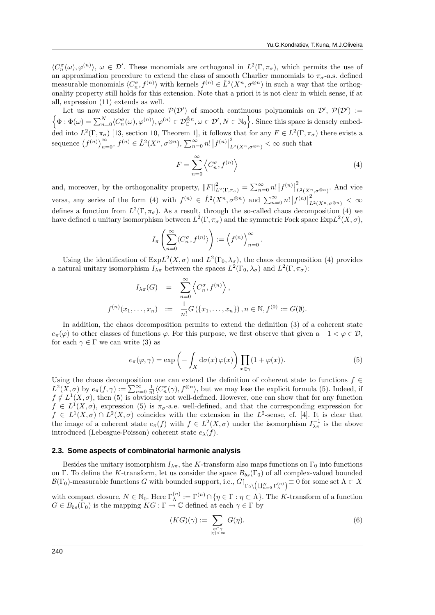$\langle C_n^{\sigma}(\omega), \varphi^{(n)}\rangle, \ \omega \in \mathcal{D}'$ . These monomials are orthogonal in  $L^2(\Gamma, \pi_{\sigma})$ , which permits the use of an approximation procedure to extend the class of smooth Charlier monomials to  $\pi_{\sigma}$ -a.s. defined measurable monomials  $\langle C_n^{\sigma}, f^{(n)} \rangle$  with kernels  $f^{(n)} \in \hat{L}^2(X^n, \sigma^{\otimes n})$  in such a way that the orthogonality property still holds for this extension. Note that a priori it is not clear in which sense, if at all, expression (11) extends as well.

Let us now consider the space  $\mathcal{P}(\mathcal{D}')$  of smooth continuous polynomials on  $\mathcal{D}', \mathcal{P}(\mathcal{D}') :=$  $\{\Phi : \Phi(\omega) = \sum_{n=0}^{N} \langle C_n^{\sigma}(\omega), \varphi^{(n)} \rangle, \varphi^{(n)} \in \mathcal{D}_{\mathbb{C}}^{\hat{\otimes}n}, \omega \in \mathcal{D}', N \in \mathbb{N}_0\}$ . Since this space is densely embedded into  $L^2(\Gamma, \pi_{\sigma})$  [13, section 10, Theorem 1], it follows that for any  $F \in L^2(\Gamma, \pi_{\sigma})$  there exists a sequence  $(f^{(n)})_{n=0}^{\infty}$ ,  $f^{(n)} \in \hat{L}^{2}(X^n, \sigma^{\otimes n})$ ,  $\sum_{n=0}^{\infty} n! |f^{(n)}|_{L}^{2}$  $\sum_{L^2(X^n, \sigma^{\otimes n})}^2 < \infty$  such that

$$
F = \sum_{n=0}^{\infty} \left\langle C_n^{\sigma}, f^{(n)} \right\rangle \tag{4}
$$

and, moreover, by the orthogonality property,  $||F||^2_{L^2(\Gamma,\pi_{\sigma})} = \sum_{n=0}^{\infty} n! |f^{(n)}|^2_{L^2(\Gamma,\pi_{\sigma})}$  $L^2(X^n, \sigma^{\otimes n})$ . And vice versa, any series of the form (4) with  $f^{(n)} \in \hat{L}^2(X^n, \sigma^{\otimes n})$  and  $\sum_{n=0}^{\infty} n! |f^{(n)}|_I^2$  $L^2(X^n,\sigma^{\otimes n}) \leq \infty$ defines a function from  $L^2(\Gamma, \pi_{\sigma})$ . As a result, through the so-called chaos decomposition (4) we have defined a unitary isomorphism between  $L^2(\Gamma, \pi_{\sigma})$  and the symmetric Fock space  $\text{Exp}L^2(X, \sigma)$ ,

$$
I_{\pi}\left(\sum_{n=0}^{\infty}\langle C_n^{\sigma},f^{(n)}\rangle\right):=\left(f^{(n)}\right)_{n=0}^{\infty}.
$$

Using the identification of  $ExpL^2(X, \sigma)$  and  $L^2(\Gamma_0, \lambda_\sigma)$ , the chaos decomposition (4) provides a natural unitary isomorphism  $I_{\lambda\pi}$  between the spaces  $L^2(\Gamma_0, \lambda_\sigma)$  and  $L^2(\Gamma, \pi_\sigma)$ :

$$
I_{\lambda\pi}(G) = \sum_{n=0}^{\infty} \left\langle C_n^{\sigma}, f^{(n)} \right\rangle,
$$
  

$$
f^{(n)}(x_1, \dots, x_n) := \frac{1}{n!} G(\{x_1, \dots, x_n\}), n \in \mathbb{N}, f^{(0)} := G(\emptyset).
$$

In addition, the chaos decomposition permits to extend the definition (3) of a coherent state  $e_{\pi}(\varphi)$  to other classes of functions  $\varphi$ . For this purpose, we first observe that given  $a -1 < \varphi \in \mathcal{D}$ , for each  $\gamma \in \Gamma$  we can write (3) as

$$
e_{\pi}(\varphi,\gamma) = \exp\left(-\int_X d\sigma(x)\,\varphi(x)\right) \prod_{x \in \gamma} (1 + \varphi(x)).\tag{5}
$$

Using the chaos decomposition one can extend the definition of coherent state to functions  $f \in$  $L^2(X, \sigma)$  by  $e_{\pi}(f, \gamma) := \sum_{n=0}^{\infty} \frac{1}{n!} \langle C_n^{\sigma}(\gamma), f^{\otimes n} \rangle$ , but we may lose the explicit formula (5). Indeed, if  $f \notin L^1(X, \sigma)$ , then (5) is obviously not well-defined. However, one can show that for any function  $f \in L^1(X, \sigma)$ , expression (5) is  $\pi_{\sigma}$ -a.e. well-defined, and that the corresponding expression for  $f \in L^1(X, \sigma) \cap L^2(X, \sigma)$  coincides with the extension in the L<sup>2</sup>-sense, cf. [4]. It is clear that the image of a coherent state  $e_{\pi}(f)$  with  $f \in L^2(X, \sigma)$  under the isomorphism  $I_{\lambda\pi}^{-1}$  is the above introduced (Lebesgue-Poisson) coherent state  $e_{\lambda}(f)$ .

#### **2.3. Some aspects of combinatorial harmonic analysis**

Besides the unitary isomorphism  $I_{\lambda\pi}$ , the K-transform also maps functions on  $\Gamma_0$  into functions on Γ. To define the K-transform, let us consider the space  $B_{bs}(\Gamma_0)$  of all complex-valued bounded  $\mathcal{B}(\Gamma_0)$ -measurable functions G with bounded support, i.e.,  $G|_{\Gamma_0 \setminus \left( \bigsqcup_{n=0}^N \Gamma^{(n)}_\Lambda \right)} \equiv 0$  for some set  $\Lambda \subset X$ 

with compact closure,  $N \in \mathbb{N}_0$ . Here  $\Gamma_{\Lambda}^{(n)} := \Gamma^{(n)} \cap \{ \eta \in \Gamma : \eta \subset \Lambda \}$ . The K-transform of a function  $G \in B_{bs}(\Gamma_0)$  is the mapping  $KG : \Gamma \to \mathbb{C}$  defined at each  $\gamma \in \Gamma$  by

$$
(KG)(\gamma) := \sum_{\substack{\eta \subset \gamma \\ |\eta| < \infty}} G(\eta). \tag{6}
$$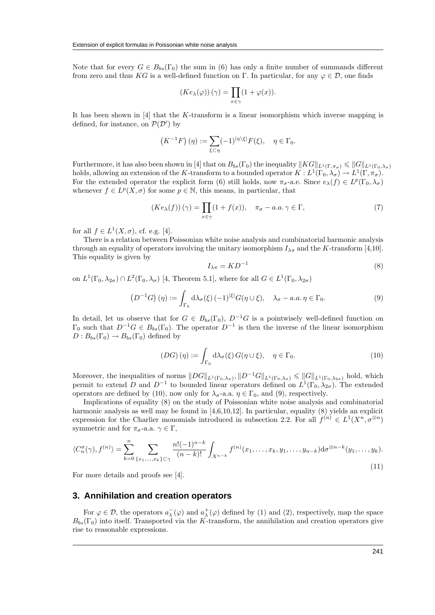Note that for every  $G \in B_{bs}(\Gamma_0)$  the sum in (6) has only a finite number of summands different from zero and thus KG is a well-defined function on Γ. In particular, for any  $\varphi \in \mathcal{D}$ , one finds

$$
(Ke_{\lambda}(\varphi))\,(\gamma)=\prod_{x\in\gamma}(1+\varphi(x)).
$$

It has been shown in [4] that the K-transform is a linear isomorphism which inverse mapping is defined, for instance, on  $\mathcal{P}(\mathcal{D}')$  by

$$
(K^{-1}F)(\eta) := \sum_{\xi \subset \eta} (-1)^{|\eta \backslash \xi|} F(\xi), \quad \eta \in \Gamma_0.
$$

Furthermore, it has also been shown in [4] that on  $B_{bs}(\Gamma_0)$  the inequality  $||KG||_{L^1(\Gamma,\pi_{\sigma})} \leq ||G||_{L^1(\Gamma_0,\lambda_{\sigma})}$ holds, allowing an extension of the K-transform to a bounded operator  $K: L^1(\Gamma_0, \lambda_\sigma) \to L^1(\Gamma, \pi_\sigma)$ . For the extended operator the explicit form (6) still holds, now  $\pi_{\sigma}$ -a.e. Since  $e_{\lambda}(f) \in L^p(\Gamma_0, \lambda_{\sigma})$ whenever  $f \in L^p(X, \sigma)$  for some  $p \in \mathbb{N}$ , this means, in particular, that

$$
(Ke_{\lambda}(f))(\gamma) = \prod_{x \in \gamma} (1 + f(x)), \quad \pi_{\sigma} - a.a. \gamma \in \Gamma,
$$
\n(7)

for all  $f \in L^1(X, \sigma)$ , cf. e.g. [4].

There is a relation between Poissonian white noise analysis and combinatorial harmonic analysis through an equality of operators involving the unitary isomorphism  $I_{\lambda\pi}$  and the K-transform [4,10]. This equality is given by

$$
I_{\lambda\pi} = K D^{-1} \tag{8}
$$

on  $L^1(\Gamma_0, \lambda_{2\sigma}) \cap L^2(\Gamma_0, \lambda_{\sigma})$  [4, Theorem 5.1], where for all  $G \in L^1(\Gamma_0, \lambda_{2\sigma})$ 

$$
\left(D^{-1}G\right)(\eta) := \int_{\Gamma_0} d\lambda_{\sigma}(\xi) \, (-1)^{|\xi|} G(\eta \cup \xi), \quad \lambda_{\sigma} - a.a. \, \eta \in \Gamma_0. \tag{9}
$$

In detail, let us observe that for  $G \in B_{bs}(\Gamma_0)$ ,  $D^{-1}G$  is a pointwisely well-defined function on  $\Gamma_0$  such that  $D^{-1}G \in B_{bs}(\Gamma_0)$ . The operator  $D^{-1}$  is then the inverse of the linear isomorphism  $D: B_{bs}(\Gamma_0) \to B_{bs}(\Gamma_0)$  defined by

$$
(DG)\left(\eta\right) := \int_{\Gamma_0} \mathrm{d}\lambda_{\sigma}(\xi) \, G(\eta \cup \xi), \quad \eta \in \Gamma_0. \tag{10}
$$

Moreover, the inequalities of norms  $||DG||_{L^1(\Gamma_0,\lambda_\sigma)}, ||D^{-1}G||_{L^1(\Gamma_0,\lambda_\sigma)} \leq ||G||_{L^1(\Gamma_0,\lambda_{2\sigma})}$  hold, which permit to extend D and  $D^{-1}$  to bounded linear operators defined on  $L^1(\Gamma_0, \lambda_{2\sigma})$ . The extended operators are defined by (10), now only for  $\lambda_{\sigma}$ -a.a.  $\eta \in \Gamma_0$ , and (9), respectively.

Implications of equality (8) on the study of Poissonian white noise analysis and combinatorial harmonic analysis as well may be found in [4,6,10,12]. In particular, equality (8) yields an explicit expression for the Charlier monomials introduced in subsection 2.2. For all  $f^{(n)} \in L^1(X^n, \sigma^{\otimes n})$ symmetric and for  $\pi_{\sigma}$ -a.a.  $\gamma \in \Gamma$ ,

$$
\langle C_n^{\sigma}(\gamma), f^{(n)} \rangle = \sum_{k=0}^n \sum_{\{x_1, \dots, x_k\} \subset \gamma} \frac{n! (-1)^{n-k}}{(n-k)!} \int_{X^{n-k}} f^{(n)}(x_1, \dots, x_k, y_1, \dots, y_{n-k}) \mathrm{d}\sigma^{\otimes n-k}(y_1, \dots, y_k). \tag{11}
$$

For more details and proofs see [4].

#### **3. Annihilation and creation operators**

For  $\varphi \in \mathcal{D}$ , the operators  $a_{\lambda}^-(\varphi)$  and  $a_{\lambda}^+(\varphi)$  defined by (1) and (2), respectively, map the space  $B_{bs}(\Gamma_0)$  into itself. Transported via the K-transform, the annihilation and creation operators give rise to reasonable expressions.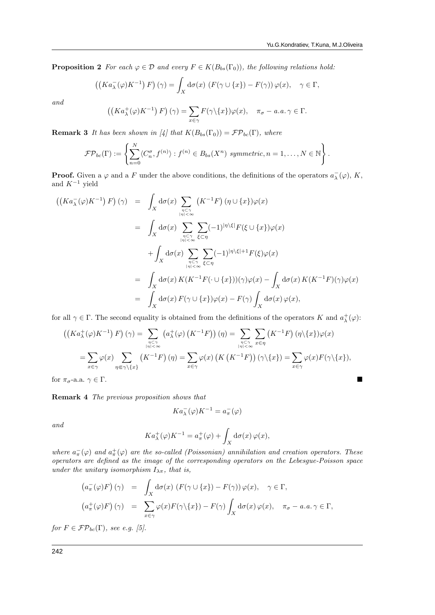**Proposition 2** For each  $\varphi \in \mathcal{D}$  and every  $F \in K(B_{bs}(\Gamma_0))$ , the following relations hold:

$$
((Ka_{\lambda}^-(\varphi)K^{-1})\,F)(\gamma) = \int_X d\sigma(x)\,\left(F(\gamma \cup \{x\}) - F(\gamma)\right)\varphi(x), \quad \gamma \in \Gamma,
$$

and

$$
((Ka_{\lambda}^+(\varphi)K^{-1})\,F)(\gamma) = \sum_{x \in \gamma} F(\gamma \setminus \{x\})\varphi(x), \quad \pi_{\sigma} - a.a. \,\gamma \in \Gamma.
$$

**Remark 3** It has been shown in [4] that  $K(B_{bs}(\Gamma_0)) = \mathcal{FP}_{bc}(\Gamma)$ , where

$$
\mathcal{FP}_{bc}(\Gamma) := \left\{ \sum_{n=0}^{N} \langle C_n^{\sigma}, f^{(n)} \rangle : f^{(n)} \in B_{bs}(X^n) \text{ symmetric}, n = 1, \ldots, N \in \mathbb{N} \right\}.
$$

**Proof.** Given a  $\varphi$  and a F under the above conditions, the definitions of the operators  $a_{\lambda}^-(\varphi)$ , K, and  $K^{-1}$  yield

$$
\begin{array}{rcl} \left( \left( K a_{\lambda}^{-}(\varphi) K^{-1} \right) F \right) (\gamma) & = & \displaystyle \int_{X} \mathrm{d}\sigma(x) \sum_{\eta \subset \gamma \atop |\eta| < \infty} \left( K^{-1} F \right) (\eta \cup \{x\}) \varphi(x) \\ \\ & = & \displaystyle \int_{X} \mathrm{d}\sigma(x) \sum_{\eta \subset \gamma \atop |\eta| < \infty} \sum_{\xi \subset \eta} (-1)^{|\eta \setminus \xi|} F(\xi \cup \{x\}) \varphi(x) \\ \\ & & + \displaystyle \int_{X} \mathrm{d}\sigma(x) \sum_{\eta \subset \gamma \atop |\eta| < \infty} \sum_{\xi \subset \eta} (-1)^{|\eta \setminus \xi|+1} F(\xi) \varphi(x) \\ \\ & = & \displaystyle \int_{X} \mathrm{d}\sigma(x) \, K(K^{-1} F(\cdot \cup \{x\})) (\gamma) \varphi(x) - \int_{X} \mathrm{d}\sigma(x) \, K(K^{-1} F)(\gamma) \varphi(x) \\ \\ & = & \displaystyle \int_{X} \mathrm{d}\sigma(x) \, F(\gamma \cup \{x\}) \varphi(x) - F(\gamma) \int_{X} \mathrm{d}\sigma(x) \, \varphi(x), \end{array}
$$

for all  $\gamma \in \Gamma$ . The second equality is obtained from the definitions of the operators K and  $a^+_\lambda(\varphi)$ :

$$
\left(\left(Ka_{\lambda}^{+}(\varphi)K^{-1}\right)F\right)(\gamma) = \sum_{\substack{\eta \subset \gamma \\ |\eta| < \infty}} \left(a_{\lambda}^{+}(\varphi)\left(K^{-1}F\right)\right)(\eta) = \sum_{\substack{\eta \subset \gamma \\ |\eta| < \infty}} \sum_{x \in \eta} \left(K^{-1}F\right)(\eta\setminus\{x\})\varphi(x)
$$

$$
= \sum_{x \in \gamma} \varphi(x) \sum_{\eta \in \gamma\setminus\{x\}} \left(K^{-1}F\right)(\eta) = \sum_{x \in \gamma} \varphi(x)\left(K\left(K^{-1}F\right)\right)(\gamma\setminus\{x\}) = \sum_{x \in \gamma} \varphi(x)F(\gamma\setminus\{x\}),
$$

for  $\pi_{\sigma}$ -a.a.  $\gamma \in \Gamma$ .

Remark 4 The previous proposition shows that

$$
Ka^-_\lambda(\varphi)K^{-1}=a^-_\pi(\varphi)
$$

and

$$
Ka_{\lambda}^+(\varphi)K^{-1} = a_{\pi}^+(\varphi) + \int_X d\sigma(x)\,\varphi(x),
$$

where  $a_{\pi}^-(\varphi)$  and  $a_{\pi}^+(\varphi)$  are the so-called (Poissonian) annihilation and creation operators. These operators are defined as the image of the corresponding operators on the Lebesgue-Poisson space under the unitary isomorphism  $I_{\lambda\pi}$ , that is,

$$
\begin{aligned}\n\left(a_{\pi}^{-}(\varphi)F\right)(\gamma) &= \int_{X} d\sigma(x) \left(F(\gamma \cup \{x\}) - F(\gamma)\right) \varphi(x), \quad \gamma \in \Gamma, \\
\left(a_{\pi}^{+}(\varphi)F\right)(\gamma) &= \sum_{x \in \gamma} \varphi(x) F(\gamma \setminus \{x\}) - F(\gamma) \int_{X} d\sigma(x) \varphi(x), \quad \pi_{\sigma} - a.a. \gamma \in \Gamma,\n\end{aligned}
$$

for  $F \in \mathcal{FP}_{bc}(\Gamma)$ , see e.g. [5].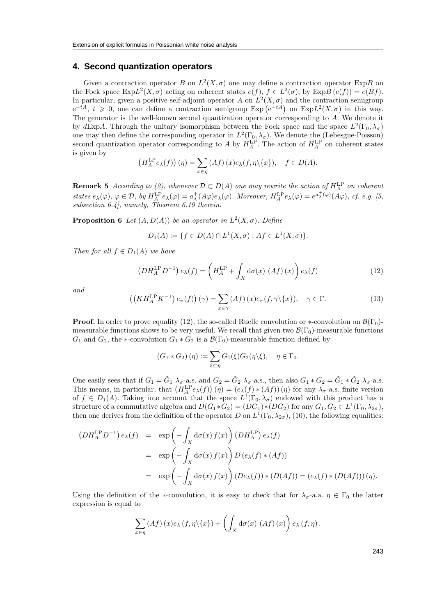#### **4. Second quantization operators**

Given a contraction operator B on  $L^2(X, \sigma)$  one may define a contraction operator ExpB on the Fock space  $\text{Exp}L^2(X,\sigma)$  acting on coherent states  $e(f), f \in L^2(\sigma)$ , by  $\text{Exp}B(e(f)) = e(Bf)$ . In particular, given a positive self-adjoint operator A on  $L^2(X, \sigma)$  and the contraction semigroup  $e^{-tA}, t \geq 0$ , one can define a contraction semigroup  $Exp(e^{-tA})$  on  $ExpL<sup>2</sup>(X,\sigma)$  in this way. The generator is the well-known second quantization operator corresponding to A. We denote it by dExpA. Through the unitary isomorphism between the Fock space and the space  $L^2(\Gamma_0, \lambda_\sigma)$ one may then define the corresponding operator in  $L^2(\Gamma_0, \lambda_\sigma)$ . We denote the (Lebesgue-Poisson) second quantization operator corresponding to A by  $H_A^{\text{LP}}$ . The action of  $H_A^{\text{LP}}$  on coherent states is given by

$$
\left(H_A^{\text{LP}}e_{\lambda}(f)\right)(\eta) = \sum_{x \in \eta} (Af)(x)e_{\lambda}(f, \eta \setminus \{x\}), \quad f \in D(A).
$$

**Remark 5** According to (2), whenever  $\mathcal{D} \subset D(A)$  one may rewrite the action of  $H_A^{\text{LP}}$  on coherent states  $e_{\lambda}(\varphi)$ ,  $\varphi \in \mathcal{D}$ , by  $H_A^{\text{LP}}e_{\lambda}(\varphi) = a_{\lambda}^+(A\varphi)e_{\lambda}(\varphi)$ . Moreover,  $H_A^{\text{LP}}e_{\lambda}(\varphi) = e^{a_{\lambda}^+(\varphi)}(A\varphi)$ , cf. e.g. [5, subsection 6.4], namely, Theorem 6.19 therein.

**Proposition 6** Let  $(A, D(A))$  be an operator in  $L^2(X, \sigma)$ . Define

$$
D_1(A) := \{ f \in D(A) \cap L^1(X, \sigma) : Af \in L^1(X, \sigma) \}.
$$

Then for all  $f \in D_1(A)$  we have

$$
\left(DH_A^{\text{LP}}D^{-1}\right)e_\lambda(f) = \left(H_A^{\text{LP}} + \int_X d\sigma(x) \left(Af\right)(x)\right)e_\lambda(f) \tag{12}
$$

and

$$
\left(\left(KH_A^{\text{LP}}K^{-1}\right)e_{\pi}(f)\right)(\gamma) = \sum_{x \in \gamma} \left(Af\right)(x)e_{\pi}(f,\gamma\setminus\{x\}), \quad \gamma \in \Gamma. \tag{13}
$$

**Proof.** In order to prove equality (12), the so-called Ruelle convolution or  $*$ -convolution on  $\mathcal{B}(\Gamma_0)$ measurable functions shows to be very useful. We recall that given two  $\mathcal{B}(\Gamma_0)$ -measurable functions  $G_1$  and  $G_2$ , the \*-convolution  $G_1 * G_2$  is a  $\mathcal{B}(\Gamma_0)$ -measurable function defined by

$$
(G_1 * G_2) (\eta) := \sum_{\xi \subset \eta} G_1(\xi) G_2(\eta \setminus \xi), \quad \eta \in \Gamma_0.
$$

One easily sees that if  $G_1 = \tilde{G}_1 \lambda_{\sigma}$ -a.s. and  $G_2 = \tilde{G}_2 \lambda_{\sigma}$ -a.s., then also  $G_1 * G_2 = \tilde{G}_1 * \tilde{G}_2 \lambda_{\sigma}$ -a.s. This means, in particular, that  $(H_A^{\text{LP}}e_{\lambda}(f))(\eta) = (e_{\lambda}(f) * (Af))(\eta)$  for any  $\lambda_{\sigma}$ -a.s. finite version of  $f \in D_1(A)$ . Taking into account that the space  $L^1(\Gamma_0, \lambda_\sigma)$  endowed with this product has a structure of a commutative algebra and  $D(G_1 * G_2) = (DG_1) * (DG_2)$  for any  $G_1, G_2 \in L^1(\Gamma_0, \lambda_{2\sigma}),$ then one derives from the definition of the operator D on  $L^1(\Gamma_0, \lambda_{2\sigma})$ , (10), the following equalities:

$$
(DH_A^{\text{LP}} D^{-1}) e_{\lambda}(f) = \exp \left(-\int_X d\sigma(x) f(x)\right) (DH_A^{\text{LP}}) e_{\lambda}(f)
$$
  

$$
= \exp \left(-\int_X d\sigma(x) f(x)\right) D (e_{\lambda}(f) * (Af))
$$
  

$$
= \exp \left(-\int_X d\sigma(x) f(x)\right) (De_{\lambda}(f)) * (D(Af)) = (e_{\lambda}(f) * (D(Af))) (\eta).
$$

Using the definition of the ∗-convolution, it is easy to check that for  $\lambda_{\sigma}$ -a.a.  $\eta \in \Gamma_0$  the latter expression is equal to

$$
\sum_{x \in \eta} (Af)(x) e_{\lambda} (f, \eta \setminus \{x\}) + \left( \int_X d\sigma(x) (Af)(x) \right) e_{\lambda} (f, \eta).
$$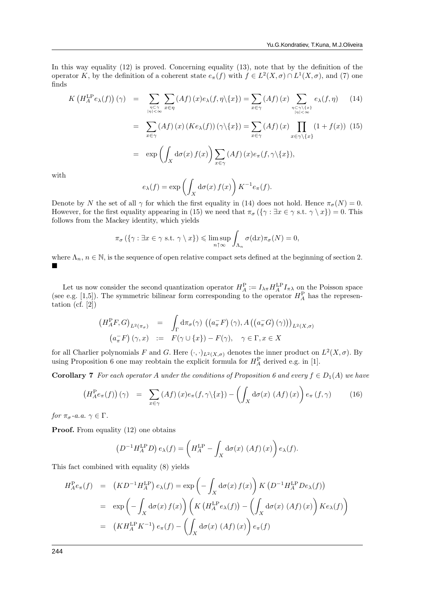In this way equality (12) is proved. Concerning equality (13), note that by the definition of the operator K, by the definition of a coherent state  $e_{\pi}(f)$  with  $f \in L^2(X, \sigma) \cap L^1(X, \sigma)$ , and (7) one finds

$$
K\left(H_A^{\text{LP}}e_\lambda(f)\right)(\gamma) = \sum_{\substack{\eta \subset \gamma \\ |\eta| < \infty}} \sum_{x \in \eta} (Af)(x)e_\lambda(f, \eta \setminus \{x\}) = \sum_{x \in \gamma} (Af)(x) \sum_{\substack{\eta \subset \gamma \setminus \{x\} \\ |\eta| < \infty}} e_\lambda(f, \eta) \tag{14}
$$

$$
= \sum_{x \in \gamma} (Af)(x) (Ke_{\lambda}(f)) (\gamma \setminus \{x\}) = \sum_{x \in \gamma} (Af)(x) \prod_{x \in \gamma \setminus \{x\}} (1 + f(x)) (15)
$$

$$
= \exp \left( \int_X d\sigma(x) f(x) \right) \sum_{x \in \gamma} (Af)(x) e_{\pi}(f, \gamma \setminus \{x\}),
$$

with

$$
e_{\lambda}(f) = \exp\left(\int_{X} d\sigma(x) f(x)\right) K^{-1} e_{\pi}(f).
$$

Denote by N the set of all  $\gamma$  for which the first equality in (14) does not hold. Hence  $\pi_{\sigma}(N) = 0$ . However, for the first equality appearing in (15) we need that  $\pi_{\sigma}(\{\gamma : \exists x \in \gamma \text{ s.t. } \gamma \setminus x\}) = 0$ . This follows from the Mackey identity, which yields

$$
\pi_{\sigma}\left(\left\{\gamma:\exists x\in\gamma\text{ s.t. }\gamma\setminus x\right\}\right)\leqslant\limsup_{n\uparrow\infty}\int_{\Lambda_n}\sigma(\mathrm{d} x)\pi_{\sigma}(N)=0,
$$

where  $\Lambda_n$ ,  $n \in \mathbb{N}$ , is the sequence of open relative compact sets defined at the beginning of section 2. п

Let us now consider the second quantization operator  $H_A^P := I_{\lambda \pi} H_A^{\text{LP}} I_{\pi \lambda}$  on the Poisson space (see e.g. [1,5]). The symmetric bilinear form corresponding to the operator  $H_A^{\text{P}}$  has the representation (cf.  $[2]$ )

$$
(H_A^P F, G)_{L^2(\pi_{\sigma})} = \int_{\Gamma} d\pi_{\sigma}(\gamma) \left( (a_{\pi} F) (\gamma), A ((a_{\pi} G) (\gamma)) \right)_{L^2(X, \sigma)}
$$

$$
(a_{\pi} F) (\gamma, x) := F(\gamma \cup \{x\}) - F(\gamma), \quad \gamma \in \Gamma, x \in X
$$

for all Charlier polynomials F and G. Here  $(\cdot, \cdot)_{L^2(X,\sigma)}$  denotes the inner product on  $L^2(X,\sigma)$ . By using Proposition 6 one may reobtain the explicit formula for  $H_A^{\text{P}}$  derived e.g. in [1].

**Corollary 7** For each operator A under the conditions of Proposition 6 and every  $f \in D_1(A)$  we have

$$
\left(H_A^{\mathcal{P}}e_{\pi}(f)\right)(\gamma) = \sum_{x \in \gamma} (Af)(x)e_{\pi}(f, \gamma \setminus \{x\}) - \left(\int_X d\sigma(x) \left(Af\right)(x)\right)e_{\pi}(f, \gamma) \tag{16}
$$

for  $\pi_{\sigma}$ -a.a.  $\gamma \in \Gamma$ .

**Proof.** From equality (12) one obtains

$$
(D^{-1}H_A^{\text{LP}}D) e_\lambda(f) = \left(H_A^{\text{LP}} - \int_X d\sigma(x) \left(Af\right)(x)\right) e_\lambda(f).
$$

This fact combined with equality (8) yields

$$
H_A^P e_\pi(f) = (KD^{-1} H_A^{LP}) e_\lambda(f) = \exp\left(-\int_X d\sigma(x) f(x)\right) K (D^{-1} H_A^{LP} D e_\lambda(f))
$$
  
= 
$$
\exp\left(-\int_X d\sigma(x) f(x)\right) \left(K (H_A^{LP} e_\lambda(f)) - \left(\int_X d\sigma(x) (Af)(x)\right) K e_\lambda(f)\right)
$$
  
= 
$$
(KH_A^{LP} K^{-1}) e_\pi(f) - \left(\int_X d\sigma(x) (Af)(x)\right) e_\pi(f)
$$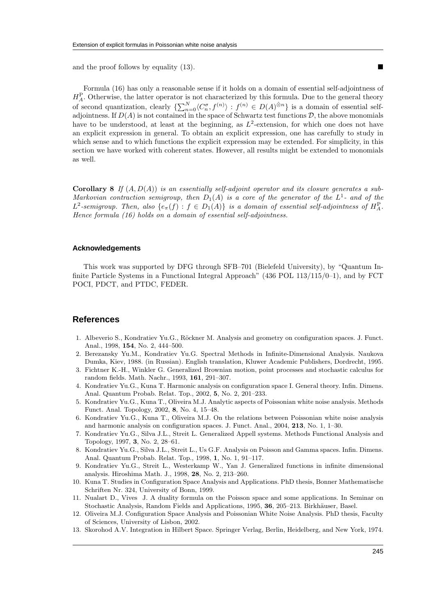and the proof follows by equality (13).

Formula (16) has only a reasonable sense if it holds on a domain of essential self-adjointness of  $H_A^{\rm P}$ . Otherwise, the latter operator is not characterized by this formula. Due to the general theory of second quantization, clearly  $\{\sum_{n=0}^{N} \langle C_n^{\sigma}, f^{(n)} \rangle : f^{(n)} \in D(A)^{\hat{\otimes}n}\}\$ is a domain of essential selfadjointness. If  $D(A)$  is not contained in the space of Schwartz test functions  $D$ , the above monomials have to be understood, at least at the beginning, as  $L^2$ -extension, for which one does not have an explicit expression in general. To obtain an explicit expression, one has carefully to study in which sense and to which functions the explicit expression may be extended. For simplicity, in this section we have worked with coherent states. However, all results might be extended to monomials as well.

**Corollary 8** If  $(A, D(A))$  is an essentially self-adjoint operator and its closure generates a sub-Markovian contraction semigroup, then  $D_1(A)$  is a core of the generator of the  $L^1$ - and of the L<sup>2</sup>-semigroup. Then, also  $\{e_{\pi}(f) : f \in D_1(A)\}\$ is a domain of essential self-adjointness of  $H_A^{\mathcal{P}}$ . Hence formula (16) holds on a domain of essential self-adjointness.

#### **Acknowledgements**

This work was supported by DFG through SFB–701 (Bielefeld University), by "Quantum Infinite Particle Systems in a Functional Integral Approach" (436 POL 113/115/0–1), and by FCT POCI, PDCT, and PTDC, FEDER.

### **References**

- 1. Albeverio S., Kondratiev Yu.G., Röckner M. Analysis and geometry on configuration spaces. J. Funct. Anal., 1998, 154, No. 2, 444–500.
- 2. Berezansky Yu.M., Kondratiev Yu.G. Spectral Methods in Infinite-Dimensional Analysis. Naukova Dumka, Kiev, 1988. (in Russian). English translation, Kluwer Academic Publishers, Dordrecht, 1995.
- 3. Fichtner K.-H., Winkler G. Generalized Brownian motion, point processes and stochastic calculus for random fields. Math. Nachr., 1993, 161, 291–307.
- 4. Kondratiev Yu.G., Kuna T. Harmonic analysis on configuration space I. General theory. Infin. Dimens. Anal. Quantum Probab. Relat. Top., 2002, 5, No. 2, 201–233.
- 5. Kondratiev Yu.G., Kuna T., Oliveira M.J. Analytic aspects of Poissonian white noise analysis. Methods Funct. Anal. Topology, 2002, 8, No. 4, 15–48.
- 6. Kondratiev Yu.G., Kuna T., Oliveira M.J. On the relations between Poissonian white noise analysis and harmonic analysis on configuration spaces. J. Funct. Anal., 2004, 213, No. 1, 1–30.
- 7. Kondratiev Yu.G., Silva J.L., Streit L. Generalized Appell systems. Methods Functional Analysis and Topology, 1997, 3, No. 2, 28–61.
- 8. Kondratiev Yu.G., Silva J.L., Streit L., Us G.F. Analysis on Poisson and Gamma spaces. Infin. Dimens. Anal. Quantum Probab. Relat. Top., 1998, 1, No. 1, 91–117.
- 9. Kondratiev Yu.G., Streit L., Westerkamp W., Yan J. Generalized functions in infinite dimensional analysis. Hiroshima Math. J., 1998, 28, No. 2, 213–260.
- 10. Kuna T. Studies in Configuration Space Analysis and Applications. PhD thesis, Bonner Mathematische Schriften Nr. 324, University of Bonn, 1999.
- 11. Nualart D., Vives J. A duality formula on the Poisson space and some applications. In Seminar on Stochastic Analysis, Random Fields and Applications, 1995, 36, 205–213. Birkhäuser, Basel.
- 12. Oliveira M.J. Configuration Space Analysis and Poissonian White Noise Analysis. PhD thesis, Faculty of Sciences, University of Lisbon, 2002.
- 13. Skorohod A.V. Integration in Hilbert Space. Springer Verlag, Berlin, Heidelberg, and New York, 1974.